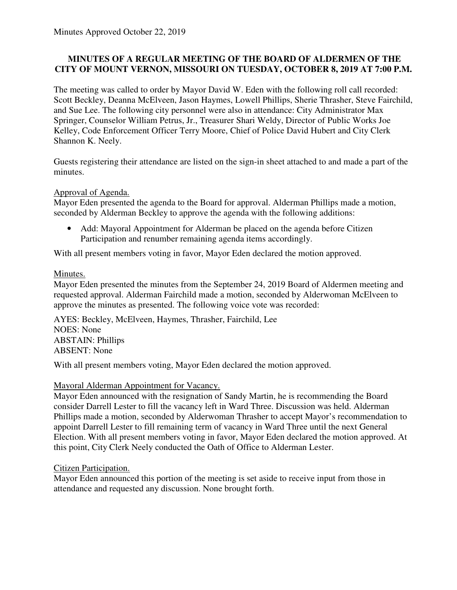## **MINUTES OF A REGULAR MEETING OF THE BOARD OF ALDERMEN OF THE CITY OF MOUNT VERNON, MISSOURI ON TUESDAY, OCTOBER 8, 2019 AT 7:00 P.M.**

The meeting was called to order by Mayor David W. Eden with the following roll call recorded: Scott Beckley, Deanna McElveen, Jason Haymes, Lowell Phillips, Sherie Thrasher, Steve Fairchild, and Sue Lee. The following city personnel were also in attendance: City Administrator Max Springer, Counselor William Petrus, Jr., Treasurer Shari Weldy, Director of Public Works Joe Kelley, Code Enforcement Officer Terry Moore, Chief of Police David Hubert and City Clerk Shannon K. Neely.

Guests registering their attendance are listed on the sign-in sheet attached to and made a part of the minutes.

## Approval of Agenda.

Mayor Eden presented the agenda to the Board for approval. Alderman Phillips made a motion, seconded by Alderman Beckley to approve the agenda with the following additions:

• Add: Mayoral Appointment for Alderman be placed on the agenda before Citizen Participation and renumber remaining agenda items accordingly.

With all present members voting in favor, Mayor Eden declared the motion approved.

## Minutes.

Mayor Eden presented the minutes from the September 24, 2019 Board of Aldermen meeting and requested approval. Alderman Fairchild made a motion, seconded by Alderwoman McElveen to approve the minutes as presented. The following voice vote was recorded:

AYES: Beckley, McElveen, Haymes, Thrasher, Fairchild, Lee NOES: None ABSTAIN: Phillips ABSENT: None

With all present members voting, Mayor Eden declared the motion approved.

#### Mayoral Alderman Appointment for Vacancy.

Mayor Eden announced with the resignation of Sandy Martin, he is recommending the Board consider Darrell Lester to fill the vacancy left in Ward Three. Discussion was held. Alderman Phillips made a motion, seconded by Alderwoman Thrasher to accept Mayor's recommendation to appoint Darrell Lester to fill remaining term of vacancy in Ward Three until the next General Election. With all present members voting in favor, Mayor Eden declared the motion approved. At this point, City Clerk Neely conducted the Oath of Office to Alderman Lester.

#### Citizen Participation.

Mayor Eden announced this portion of the meeting is set aside to receive input from those in attendance and requested any discussion. None brought forth.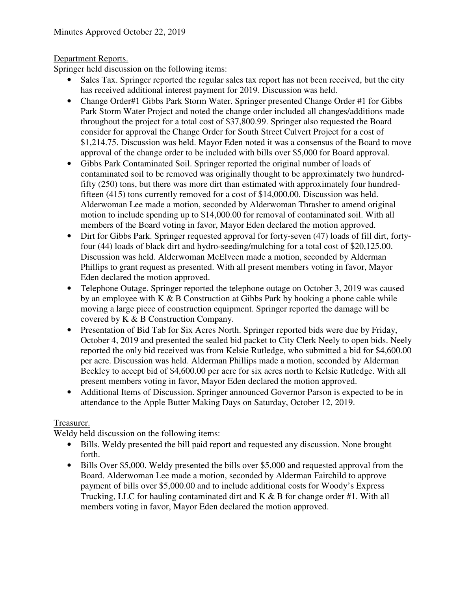## Department Reports.

Springer held discussion on the following items:

- Sales Tax. Springer reported the regular sales tax report has not been received, but the city has received additional interest payment for 2019. Discussion was held.
- Change Order#1 Gibbs Park Storm Water. Springer presented Change Order #1 for Gibbs Park Storm Water Project and noted the change order included all changes/additions made throughout the project for a total cost of \$37,800.99. Springer also requested the Board consider for approval the Change Order for South Street Culvert Project for a cost of \$1,214.75. Discussion was held. Mayor Eden noted it was a consensus of the Board to move approval of the change order to be included with bills over \$5,000 for Board approval.
- Gibbs Park Contaminated Soil. Springer reported the original number of loads of contaminated soil to be removed was originally thought to be approximately two hundredfifty (250) tons, but there was more dirt than estimated with approximately four hundredfifteen (415) tons currently removed for a cost of \$14,000.00. Discussion was held. Alderwoman Lee made a motion, seconded by Alderwoman Thrasher to amend original motion to include spending up to \$14,000.00 for removal of contaminated soil. With all members of the Board voting in favor, Mayor Eden declared the motion approved.
- Dirt for Gibbs Park. Springer requested approval for forty-seven (47) loads of fill dirt, fortyfour (44) loads of black dirt and hydro-seeding/mulching for a total cost of \$20,125.00. Discussion was held. Alderwoman McElveen made a motion, seconded by Alderman Phillips to grant request as presented. With all present members voting in favor, Mayor Eden declared the motion approved.
- Telephone Outage. Springer reported the telephone outage on October 3, 2019 was caused by an employee with K & B Construction at Gibbs Park by hooking a phone cable while moving a large piece of construction equipment. Springer reported the damage will be covered by K & B Construction Company.
- Presentation of Bid Tab for Six Acres North. Springer reported bids were due by Friday, October 4, 2019 and presented the sealed bid packet to City Clerk Neely to open bids. Neely reported the only bid received was from Kelsie Rutledge, who submitted a bid for \$4,600.00 per acre. Discussion was held. Alderman Phillips made a motion, seconded by Alderman Beckley to accept bid of \$4,600.00 per acre for six acres north to Kelsie Rutledge. With all present members voting in favor, Mayor Eden declared the motion approved.
- Additional Items of Discussion. Springer announced Governor Parson is expected to be in attendance to the Apple Butter Making Days on Saturday, October 12, 2019.

# Treasurer.

Weldy held discussion on the following items:

- Bills. Weldy presented the bill paid report and requested any discussion. None brought forth.
- Bills Over \$5,000. Weldy presented the bills over \$5,000 and requested approval from the Board. Alderwoman Lee made a motion, seconded by Alderman Fairchild to approve payment of bills over \$5,000.00 and to include additional costs for Woody's Express Trucking, LLC for hauling contaminated dirt and K & B for change order #1. With all members voting in favor, Mayor Eden declared the motion approved.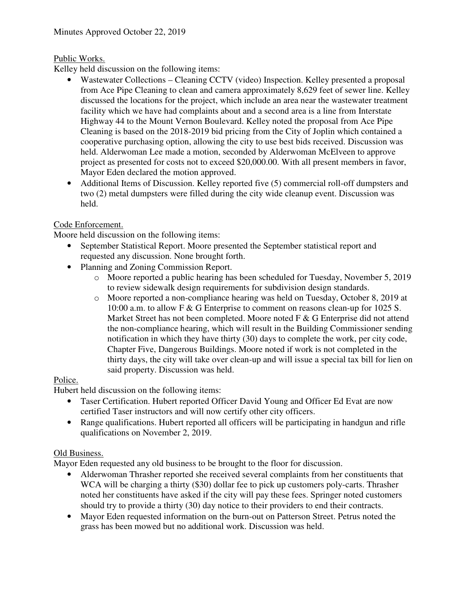# Public Works.

Kelley held discussion on the following items:

- Wastewater Collections Cleaning CCTV (video) Inspection. Kelley presented a proposal from Ace Pipe Cleaning to clean and camera approximately 8,629 feet of sewer line. Kelley discussed the locations for the project, which include an area near the wastewater treatment facility which we have had complaints about and a second area is a line from Interstate Highway 44 to the Mount Vernon Boulevard. Kelley noted the proposal from Ace Pipe Cleaning is based on the 2018-2019 bid pricing from the City of Joplin which contained a cooperative purchasing option, allowing the city to use best bids received. Discussion was held. Alderwoman Lee made a motion, seconded by Alderwoman McElveen to approve project as presented for costs not to exceed \$20,000.00. With all present members in favor, Mayor Eden declared the motion approved.
- Additional Items of Discussion. Kelley reported five (5) commercial roll-off dumpsters and two (2) metal dumpsters were filled during the city wide cleanup event. Discussion was held.

#### Code Enforcement.

Moore held discussion on the following items:

- September Statistical Report. Moore presented the September statistical report and requested any discussion. None brought forth.
- Planning and Zoning Commission Report.
	- o Moore reported a public hearing has been scheduled for Tuesday, November 5, 2019 to review sidewalk design requirements for subdivision design standards.
	- o Moore reported a non-compliance hearing was held on Tuesday, October 8, 2019 at 10:00 a.m. to allow F & G Enterprise to comment on reasons clean-up for 1025 S. Market Street has not been completed. Moore noted F & G Enterprise did not attend the non-compliance hearing, which will result in the Building Commissioner sending notification in which they have thirty (30) days to complete the work, per city code, Chapter Five, Dangerous Buildings. Moore noted if work is not completed in the thirty days, the city will take over clean-up and will issue a special tax bill for lien on said property. Discussion was held.

# Police.

Hubert held discussion on the following items:

- Taser Certification. Hubert reported Officer David Young and Officer Ed Evat are now certified Taser instructors and will now certify other city officers.
- Range qualifications. Hubert reported all officers will be participating in handgun and rifle qualifications on November 2, 2019.

# Old Business.

Mayor Eden requested any old business to be brought to the floor for discussion.

- Alderwoman Thrasher reported she received several complaints from her constituents that WCA will be charging a thirty (\$30) dollar fee to pick up customers poly-carts. Thrasher noted her constituents have asked if the city will pay these fees. Springer noted customers should try to provide a thirty (30) day notice to their providers to end their contracts.
- Mayor Eden requested information on the burn-out on Patterson Street. Petrus noted the grass has been mowed but no additional work. Discussion was held.